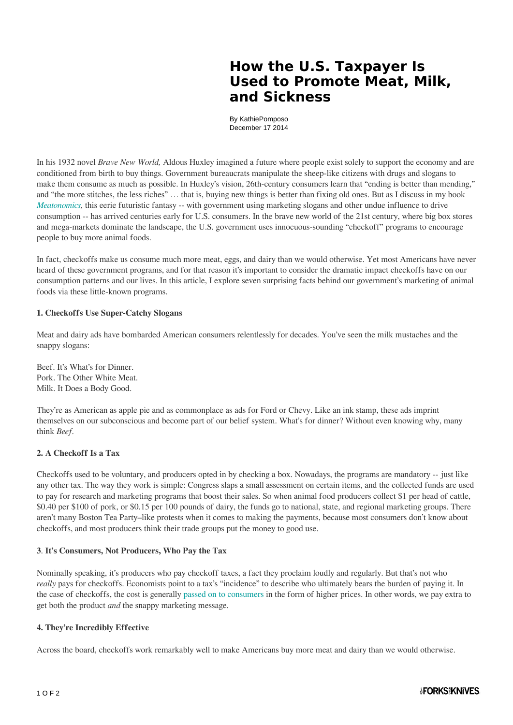# **How the U.S. Taxpayer Is Used to Promote Meat, Milk, and Sickness**

By KathiePomposo December 17 2014

In his 1932 novel *Brave New World,* Aldous Huxley imagined a future where people exist solely to support the economy and are conditioned from birth to buy things. Government bureaucrats manipulate the sheep-like citizens with drugs and slogans to make them consume as much as possible. In Huxley's vision, 26th-century consumers learn that "ending is better than mending," and "the more stitches, the less riches" … that is, buying new things is better than fixing old ones. But as I discuss in my book *Meatonomics*, this eerie futuristic fantasy -- with government using marketing slogans and other undue influence to drive consumption -- has arrived centuries early for U.S. consumers. In the brave new world of the 21st century, where big box stores and mega-markets dominate the landscape, the U.S. government uses innocuous-sounding "checkoff" programs to encourage people to buy more animal foods.

In fact, checkoffs make us consume much more meat, eggs, and dairy than we would otherwise. Yet most Americans have never heard of these government programs, and for that reason it's important to consider the dramatic impact checkoffs have on our consumption patterns and our lives. In this article, I explore seven surprising facts behind our government's marketing of animal foods via these little-known programs.

#### **1. Checkoffs Use Super-Catchy Slogans**

Meat and dairy ads have bombarded American consumers relentlessly for decades. You've seen the milk mustaches and the snappy slogans:

Beef. It's What's for Dinner. Pork. The Other White Meat. Milk. It Does a Body Good.

They're as American as apple pie and as commonplace as ads for Ford or Chevy. Like an ink stamp, these ads imprint themselves on our subconscious and become part of our belief system. What's for dinner? Without even knowing why, many think *Beef.*

#### **2. A Checkoff Is a Tax**

Checkoffs used to be voluntary, and producers opted in by checking a box. Nowadays, the programs are mandatory -- just like any other tax. The way they work is simple: Congress slaps a small assessment on certain items, and the collected funds are used to pay for research and marketing programs that boost their sales. So when animal food producers collect \$1 per head of cattle, \$0.40 per \$100 of pork, or \$0.15 per 100 pounds of dairy, the funds go to national, state, and regional marketing groups. There aren't many Boston Tea Party–like protests when it comes to making the payments, because most consumers don't know about checkoffs, and most producers think their trade groups put the money to good use.

#### **3**. **It's Consumers, Not Producers, Who Pay the Tax**

Nominally speaking, it's producers who pay checkoff taxes, a fact they proclaim loudly and regularly. But that's not who *really* pays for checkoffs. Economists point to a tax's "incidence" to describe who ultimately bears the burden of paying it. In the case of checkoffs, the cost is generally [passed on to consumers](http://www.perishablepundit.com/docs/kaiser-backgroundbrief.pdf) in the form of higher prices. In other words, we pay extra to get both the product *and* the snappy marketing message.

#### **4. They're Incredibly Effective**

Across the board, checkoffs work remarkably well to make Americans buy more meat and dairy than we would otherwise.